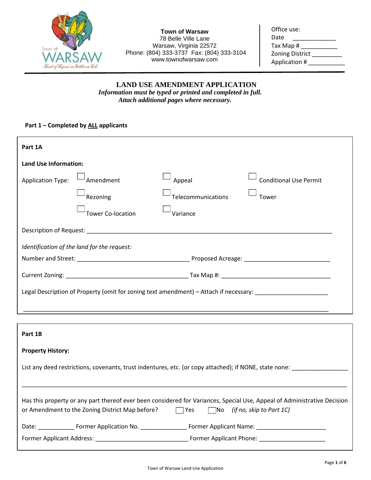

**Town of Warsaw** 78 Belle Ville Lane Warsaw, Virginia 22572 Phone: (804) 333-3737 Fax: (804) 333-3104 www.townofwarsaw.com

| Office use:            |  |
|------------------------|--|
| Date                   |  |
| Tax Map #              |  |
| <b>Zoning District</b> |  |
| Application #          |  |
|                        |  |

# **LAND USE AMENDMENT APPLICATION** *Information must be typed or printed and completed in full. Attach additional pages where necessary.*

## **Part 1 – Completed by ALL applicants**

| Part 1A                                                                                                           |                          |                    |                               |
|-------------------------------------------------------------------------------------------------------------------|--------------------------|--------------------|-------------------------------|
| <b>Land Use Information:</b>                                                                                      |                          |                    |                               |
| <b>Application Type:</b>                                                                                          | Amendment                | Appeal             | <b>Conditional Use Permit</b> |
|                                                                                                                   | Rezoning                 | Telecommunications | Tower                         |
|                                                                                                                   | <b>Tower Co-location</b> | Variance           |                               |
| Description of Request: University of Australian Control of Request: University of Australian Control of Request: |                          |                    |                               |
| Identification of the land for the request:                                                                       |                          |                    |                               |
|                                                                                                                   |                          |                    |                               |
|                                                                                                                   |                          |                    |                               |
| Legal Description of Property (omit for zoning text amendment) – Attach if necessary:                             |                          |                    |                               |
|                                                                                                                   |                          |                    |                               |

| Part 1B                                                                                                                  |  |                                                                                                                                                                                                                                |
|--------------------------------------------------------------------------------------------------------------------------|--|--------------------------------------------------------------------------------------------------------------------------------------------------------------------------------------------------------------------------------|
| <b>Property History:</b>                                                                                                 |  |                                                                                                                                                                                                                                |
| List any deed restrictions, covenants, trust indentures, etc. (or copy attached); if NONE, state none:                   |  |                                                                                                                                                                                                                                |
|                                                                                                                          |  |                                                                                                                                                                                                                                |
| Has this property or any part thereof ever been considered for Variances, Special Use, Appeal of Administrative Decision |  |                                                                                                                                                                                                                                |
|                                                                                                                          |  | or Amendment to the Zoning District Map before? $\Box$ Yes $\Box$ No (if no, skip to Part 1C)                                                                                                                                  |
|                                                                                                                          |  | Date: Former Application No. The Primer Applicant Name:                                                                                                                                                                        |
|                                                                                                                          |  | Former Applicant Phone: The Contract of the Second Second Second Second Second Second Second Second Second Second Second Second Second Second Second Second Second Second Second Second Second Second Second Second Second Sec |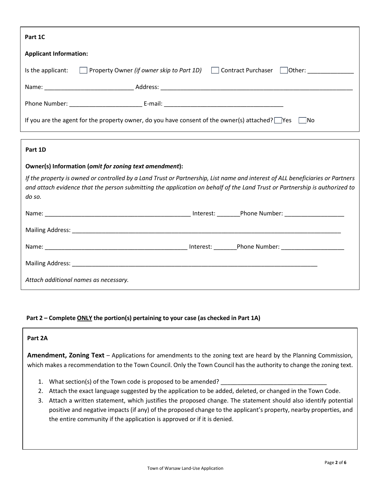| Part 1C                                                                                                        |                                                                                  |  |
|----------------------------------------------------------------------------------------------------------------|----------------------------------------------------------------------------------|--|
| <b>Applicant Information:</b>                                                                                  |                                                                                  |  |
| Is the applicant:                                                                                              | □ Property Owner <i>(if owner skip to Part 1D)</i> □ Contract Purchaser □ Other: |  |
|                                                                                                                |                                                                                  |  |
|                                                                                                                |                                                                                  |  |
| If you are the agent for the property owner, do you have consent of the owner(s) attached? $\Box$ Yes<br>- INo |                                                                                  |  |

## **Part 1D**

## **Owner(s) Information (***omit for zoning text amendment***):**

*If the property is owned or controlled by a Land Trust or Partnership, List name and interest of ALL beneficiaries or Partners and attach evidence that the person submitting the application on behalf of the Land Trust or Partnership is authorized to do so.* 

|                                       |           | Interest: Phone Number: _________________ |
|---------------------------------------|-----------|-------------------------------------------|
|                                       |           |                                           |
|                                       | Interest: | Phone Number: <u>___________________</u>  |
|                                       |           |                                           |
| Attach additional names as necessary. |           |                                           |

#### **Part 2 – Complete ONLY the portion(s) pertaining to your case (as checked in Part 1A)**

# **Part 2A**

**Amendment, Zoning Text** – Applications for amendments to the zoning text are heard by the Planning Commission, which makes a recommendation to the Town Council. Only the Town Council has the authority to change the zoning text.

- 1. What section(s) of the Town code is proposed to be amended?
- 2. Attach the exact language suggested by the application to be added, deleted, or changed in the Town Code.
- 3. Attach a written statement, which justifies the proposed change. The statement should also identify potential positive and negative impacts (if any) of the proposed change to the applicant's property, nearby properties, and the entire community if the application is approved or if it is denied.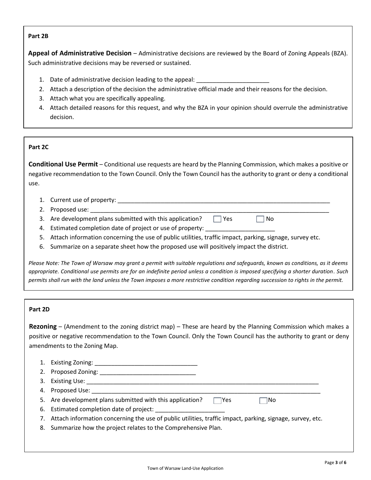## **Part 2B**

**Appeal of Administrative Decision** – Administrative decisions are reviewed by the Board of Zoning Appeals (BZA). Such administrative decisions may be reversed or sustained.

- 1. Date of administrative decision leading to the appeal:
- 2. Attach a description of the decision the administrative official made and their reasons for the decision.
- 3. Attach what you are specifically appealing.
- 4. Attach detailed reasons for this request, and why the BZA in your opinion should overrule the administrative decision.

## **Part 2C**

**Conditional Use Permit** – Conditional use requests are heard by the Planning Commission, which makes a positive or negative recommendation to the Town Council. Only the Town Council has the authority to grant or deny a conditional use.

- 1. Current use of property: \_\_\_\_\_\_\_\_\_\_\_\_\_\_\_\_\_\_\_\_\_\_\_\_\_\_\_\_\_\_\_\_\_\_\_\_\_\_\_\_\_\_\_\_\_\_\_\_\_\_\_\_\_\_\_\_\_\_\_\_\_\_\_\_
- 2. Proposed use:
- 3. Are development plans submitted with this application?  $\Box$  Yes  $\Box$  No
- 4. Estimated completion date of project or use of property:
- 5. Attach information concerning the use of public utilities, traffic impact, parking, signage, survey etc.
- 6. Summarize on a separate sheet how the proposed use will positively impact the district.

*Please Note: The Town of Warsaw may grant a permit with suitable regulations and safeguards, known as conditions, as it deems appropriate. Conditional use permits are for an indefinite period unless a condition is imposed specifying a shorter duration. Such permits shall run with the land unless the Town imposes a more restrictive condition regarding succession to rights in the permit.* 

## **Part 2D**

**Rezoning** – (Amendment to the zoning district map) – These are heard by the Planning Commission which makes a positive or negative recommendation to the Town Council. Only the Town Council has the authority to grant or deny amendments to the Zoning Map.

| 3. |                                                                                                                                                                                                                               |
|----|-------------------------------------------------------------------------------------------------------------------------------------------------------------------------------------------------------------------------------|
| 4. | Proposed Use: the contract of the contract of the contract of the contract of the contract of the contract of the contract of the contract of the contract of the contract of the contract of the contract of the contract of |
|    | 5. Are development plans submitted with this application?<br>lYes.<br>⊺No                                                                                                                                                     |
|    | 6. Estimated completion date of project:                                                                                                                                                                                      |
|    | 7. Attach information concerning the use of public utilities, traffic impact, parking, signage, survey, etc.                                                                                                                  |
|    | 8. Summarize how the project relates to the Comprehensive Plan.                                                                                                                                                               |
|    |                                                                                                                                                                                                                               |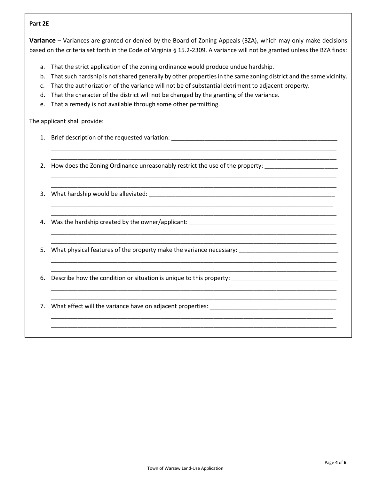## **Part 2E**

**Variance** – Variances are granted or denied by the Board of Zoning Appeals (BZA), which may only make decisions based on the criteria set forth in the Code of Virginia § 15.2-2309. A variance will not be granted unless the BZA finds:

- a. That the strict application of the zoning ordinance would produce undue hardship.
- b. That such hardship is not shared generally by other properties in the same zoning district and the same vicinity.

\_\_\_\_\_\_\_\_\_\_\_\_\_\_\_\_\_\_\_\_\_\_\_\_\_\_\_\_\_\_\_\_\_\_\_\_\_\_\_\_\_\_\_\_\_\_\_\_\_\_\_\_\_\_\_\_\_\_\_\_\_\_\_\_\_\_\_\_\_\_\_\_\_\_\_\_\_\_\_\_\_\_\_\_\_\_ \_\_\_\_\_\_\_\_\_\_\_\_\_\_\_\_\_\_\_\_\_\_\_\_\_\_\_\_\_\_\_\_\_\_\_\_\_\_\_\_\_\_\_\_\_\_\_\_\_\_\_\_\_\_\_\_\_\_\_\_\_\_\_\_\_\_\_\_\_\_\_\_\_\_\_\_\_\_\_\_\_\_\_\_\_\_

\_\_\_\_\_\_\_\_\_\_\_\_\_\_\_\_\_\_\_\_\_\_\_\_\_\_\_\_\_\_\_\_\_\_\_\_\_\_\_\_\_\_\_\_\_\_\_\_\_\_\_\_\_\_\_\_\_\_\_\_\_\_\_\_\_\_\_\_\_\_\_\_\_\_\_\_\_\_\_\_\_\_\_\_\_\_ \_\_\_\_\_\_\_\_\_\_\_\_\_\_\_\_\_\_\_\_\_\_\_\_\_\_\_\_\_\_\_\_\_\_\_\_\_\_\_\_\_\_\_\_\_\_\_\_\_\_\_\_\_\_\_\_\_\_\_\_\_\_\_\_\_\_\_\_\_\_\_\_\_\_\_\_\_\_\_\_\_\_\_\_\_\_

\_\_\_\_\_\_\_\_\_\_\_\_\_\_\_\_\_\_\_\_\_\_\_\_\_\_\_\_\_\_\_\_\_\_\_\_\_\_\_\_\_\_\_\_\_\_\_\_\_\_\_\_\_\_\_\_\_\_\_\_\_\_\_\_\_\_\_\_\_\_\_\_\_\_\_\_\_\_\_\_\_\_\_\_\_ \_\_\_\_\_\_\_\_\_\_\_\_\_\_\_\_\_\_\_\_\_\_\_\_\_\_\_\_\_\_\_\_\_\_\_\_\_\_\_\_\_\_\_\_\_\_\_\_\_\_\_\_\_\_\_\_\_\_\_\_\_\_\_\_\_\_\_\_\_\_\_\_\_\_\_\_\_\_\_\_\_\_\_\_\_\_

\_\_\_\_\_\_\_\_\_\_\_\_\_\_\_\_\_\_\_\_\_\_\_\_\_\_\_\_\_\_\_\_\_\_\_\_\_\_\_\_\_\_\_\_\_\_\_\_\_\_\_\_\_\_\_\_\_\_\_\_\_\_\_\_\_\_\_\_\_\_\_\_\_\_\_\_\_\_\_\_\_\_\_\_\_\_ \_\_\_\_\_\_\_\_\_\_\_\_\_\_\_\_\_\_\_\_\_\_\_\_\_\_\_\_\_\_\_\_\_\_\_\_\_\_\_\_\_\_\_\_\_\_\_\_\_\_\_\_\_\_\_\_\_\_\_\_\_\_\_\_\_\_\_\_\_\_\_\_\_\_\_\_\_\_\_\_\_\_\_\_\_\_

\_\_\_\_\_\_\_\_\_\_\_\_\_\_\_\_\_\_\_\_\_\_\_\_\_\_\_\_\_\_\_\_\_\_\_\_\_\_\_\_\_\_\_\_\_\_\_\_\_\_\_\_\_\_\_\_\_\_\_\_\_\_\_\_\_\_\_\_\_\_\_\_\_\_\_\_\_\_\_\_\_\_\_\_\_\_ \_\_\_\_\_\_\_\_\_\_\_\_\_\_\_\_\_\_\_\_\_\_\_\_\_\_\_\_\_\_\_\_\_\_\_\_\_\_\_\_\_\_\_\_\_\_\_\_\_\_\_\_\_\_\_\_\_\_\_\_\_\_\_\_\_\_\_\_\_\_\_\_\_\_\_\_\_\_\_\_\_\_\_\_\_\_

\_\_\_\_\_\_\_\_\_\_\_\_\_\_\_\_\_\_\_\_\_\_\_\_\_\_\_\_\_\_\_\_\_\_\_\_\_\_\_\_\_\_\_\_\_\_\_\_\_\_\_\_\_\_\_\_\_\_\_\_\_\_\_\_\_\_\_\_\_\_\_\_\_\_\_\_\_\_\_\_\_\_\_\_\_\_ \_\_\_\_\_\_\_\_\_\_\_\_\_\_\_\_\_\_\_\_\_\_\_\_\_\_\_\_\_\_\_\_\_\_\_\_\_\_\_\_\_\_\_\_\_\_\_\_\_\_\_\_\_\_\_\_\_\_\_\_\_\_\_\_\_\_\_\_\_\_\_\_\_\_\_\_\_\_\_\_\_\_\_\_\_\_

\_\_\_\_\_\_\_\_\_\_\_\_\_\_\_\_\_\_\_\_\_\_\_\_\_\_\_\_\_\_\_\_\_\_\_\_\_\_\_\_\_\_\_\_\_\_\_\_\_\_\_\_\_\_\_\_\_\_\_\_\_\_\_\_\_\_\_\_\_\_\_\_\_\_\_\_\_\_\_\_\_\_\_\_\_ \_\_\_\_\_\_\_\_\_\_\_\_\_\_\_\_\_\_\_\_\_\_\_\_\_\_\_\_\_\_\_\_\_\_\_\_\_\_\_\_\_\_\_\_\_\_\_\_\_\_\_\_\_\_\_\_\_\_\_\_\_\_\_\_\_\_\_\_\_\_\_\_\_\_\_\_\_\_\_\_\_\_\_\_\_\_

- c. That the authorization of the variance will not be of substantial detriment to adjacent property.
- d. That the character of the district will not be changed by the granting of the variance.
- e. That a remedy is not available through some other permitting.

The applicant shall provide:

- 1. Brief description of the requested variation: \_\_\_\_\_\_\_\_\_\_\_\_\_\_\_\_\_\_\_\_\_\_\_\_\_\_\_\_\_\_\_
- 2. How does the Zoning Ordinance unreasonably restrict the use of the property:
- 3. What hardship would be alleviated:

4. Was the hardship created by the owner/applicant: \_\_\_\_\_\_\_\_\_\_\_\_\_\_\_\_\_\_\_\_\_\_\_\_\_\_\_\_\_\_\_\_\_\_\_\_\_\_\_\_\_\_\_\_

5. What physical features of the property make the variance necessary: \_\_\_\_\_\_\_\_\_

6. Describe how the condition or situation is unique to this property:

7. What effect will the variance have on adjacent properties: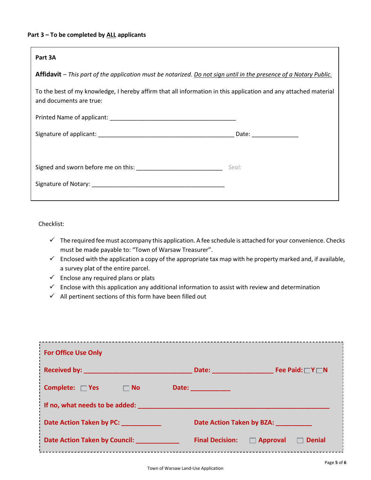#### **Part 3 – To be completed by ALL applicants**

| Part 3A                                                                                                                                    |                       |  |
|--------------------------------------------------------------------------------------------------------------------------------------------|-----------------------|--|
| Affidavit – This part of the application must be notarized. Do not sign until in the presence of a Notary Public.                          |                       |  |
| To the best of my knowledge, I hereby affirm that all information in this application and any attached material<br>and documents are true: |                       |  |
|                                                                                                                                            |                       |  |
|                                                                                                                                            | Date: _______________ |  |
|                                                                                                                                            |                       |  |
|                                                                                                                                            | Seal:                 |  |
|                                                                                                                                            |                       |  |
|                                                                                                                                            |                       |  |

Checklist:

- ✓ The required fee must accompany this application. A fee schedule is attached for your convenience. Checks must be made payable to: "Town of Warsaw Treasurer".
- $\checkmark$  Enclosed with the application a copy of the appropriate tax map with he property marked and, if available, a survey plat of the entire parcel.
- $\checkmark$  Enclose any required plans or plats
- $\checkmark$  Enclose with this application any additional information to assist with review and determination
- $\checkmark$  All pertinent sections of this form have been filled out

| <b>For Office Use Only</b>        |                                                            |  |
|-----------------------------------|------------------------------------------------------------|--|
|                                   | Fee Paid: $\Box Y \Box N$<br>Date: _____________           |  |
| Complete: □ Yes<br>$\Box$ No      | <b>Date: Example Date:</b>                                 |  |
| If no, what needs to be added:    |                                                            |  |
| Date Action Taken by PC: ________ | Date Action Taken by BZA:                                  |  |
| Date Action Taken by Council:     | <b>Final Decision:</b><br>$\Box$ Approval<br><b>Denial</b> |  |